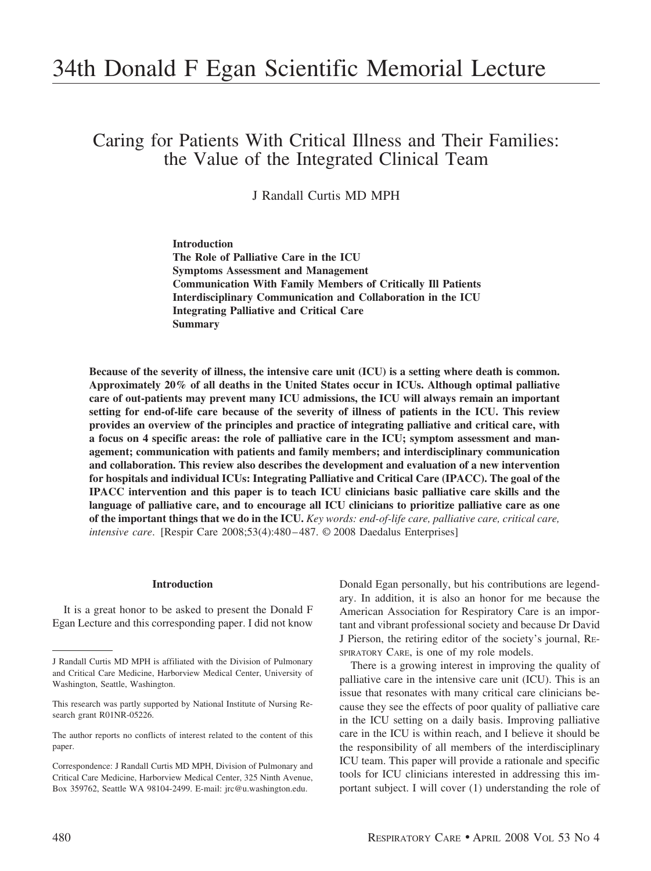# 34th Donald F Egan Scientific Memorial Lecture

Caring for Patients With Critical Illness and Their Families: the Value of the Integrated Clinical Team

J Randall Curtis MD MPH

**Introduction The Role of Palliative Care in the ICU Symptoms Assessment and Management Communication With Family Members of Critically Ill Patients Interdisciplinary Communication and Collaboration in the ICU Integrating Palliative and Critical Care Summary**

**Because of the severity of illness, the intensive care unit (ICU) is a setting where death is common. Approximately 20% of all deaths in the United States occur in ICUs. Although optimal palliative care of out-patients may prevent many ICU admissions, the ICU will always remain an important setting for end-of-life care because of the severity of illness of patients in the ICU. This review provides an overview of the principles and practice of integrating palliative and critical care, with a focus on 4 specific areas: the role of palliative care in the ICU; symptom assessment and management; communication with patients and family members; and interdisciplinary communication and collaboration. This review also describes the development and evaluation of a new intervention for hospitals and individual ICUs: Integrating Palliative and Critical Care (IPACC). The goal of the IPACC intervention and this paper is to teach ICU clinicians basic palliative care skills and the language of palliative care, and to encourage all ICU clinicians to prioritize palliative care as one of the important things that we do in the ICU.** *Key words: end-of-life care, palliative care, critical care, intensive care*. [Respir Care 2008;53(4):480 – 487. © 2008 Daedalus Enterprises]

## **Introduction**

It is a great honor to be asked to present the Donald F Egan Lecture and this corresponding paper. I did not know

Donald Egan personally, but his contributions are legendary. In addition, it is also an honor for me because the American Association for Respiratory Care is an important and vibrant professional society and because Dr David J Pierson, the retiring editor of the society's journal, RE-SPIRATORY CARE, is one of my role models.

There is a growing interest in improving the quality of palliative care in the intensive care unit (ICU). This is an issue that resonates with many critical care clinicians because they see the effects of poor quality of palliative care in the ICU setting on a daily basis. Improving palliative care in the ICU is within reach, and I believe it should be the responsibility of all members of the interdisciplinary ICU team. This paper will provide a rationale and specific tools for ICU clinicians interested in addressing this important subject. I will cover (1) understanding the role of

J Randall Curtis MD MPH is affiliated with the Division of Pulmonary and Critical Care Medicine, Harborview Medical Center, University of Washington, Seattle, Washington.

This research was partly supported by National Institute of Nursing Research grant R01NR-05226.

The author reports no conflicts of interest related to the content of this paper.

Correspondence: J Randall Curtis MD MPH, Division of Pulmonary and Critical Care Medicine, Harborview Medical Center, 325 Ninth Avenue, Box 359762, Seattle WA 98104-2499. E-mail: jrc@u.washington.edu.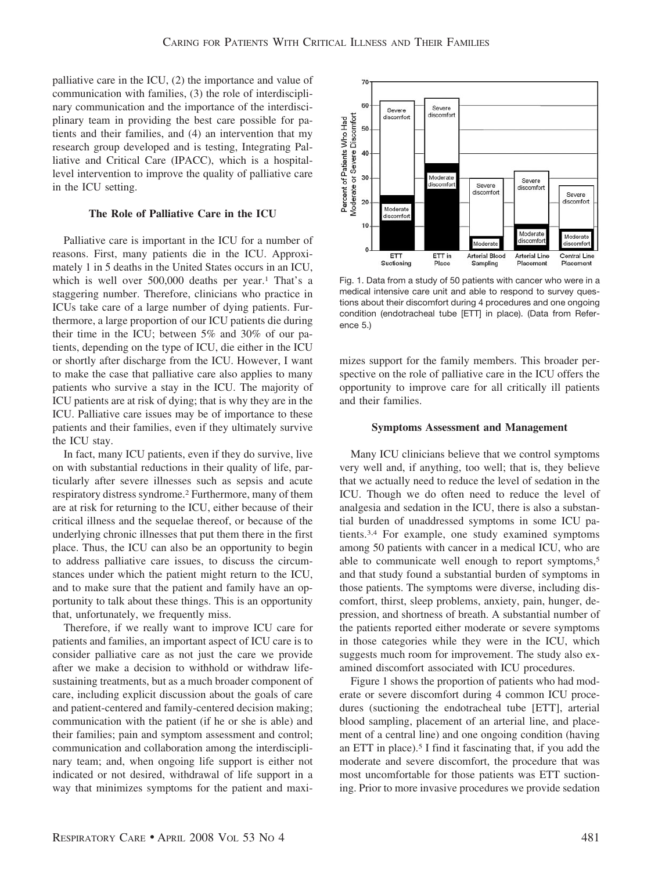palliative care in the ICU, (2) the importance and value of communication with families, (3) the role of interdisciplinary communication and the importance of the interdisciplinary team in providing the best care possible for patients and their families, and (4) an intervention that my research group developed and is testing, Integrating Palliative and Critical Care (IPACC), which is a hospitallevel intervention to improve the quality of palliative care in the ICU setting.

## **The Role of Palliative Care in the ICU**

Palliative care is important in the ICU for a number of reasons. First, many patients die in the ICU. Approximately 1 in 5 deaths in the United States occurs in an ICU, which is well over 500,000 deaths per year.<sup>1</sup> That's a staggering number. Therefore, clinicians who practice in ICUs take care of a large number of dying patients. Furthermore, a large proportion of our ICU patients die during their time in the ICU; between 5% and 30% of our patients, depending on the type of ICU, die either in the ICU or shortly after discharge from the ICU. However, I want to make the case that palliative care also applies to many patients who survive a stay in the ICU. The majority of ICU patients are at risk of dying; that is why they are in the ICU. Palliative care issues may be of importance to these patients and their families, even if they ultimately survive the ICU stay.

In fact, many ICU patients, even if they do survive, live on with substantial reductions in their quality of life, particularly after severe illnesses such as sepsis and acute respiratory distress syndrome.2 Furthermore, many of them are at risk for returning to the ICU, either because of their critical illness and the sequelae thereof, or because of the underlying chronic illnesses that put them there in the first place. Thus, the ICU can also be an opportunity to begin to address palliative care issues, to discuss the circumstances under which the patient might return to the ICU, and to make sure that the patient and family have an opportunity to talk about these things. This is an opportunity that, unfortunately, we frequently miss.

Therefore, if we really want to improve ICU care for patients and families, an important aspect of ICU care is to consider palliative care as not just the care we provide after we make a decision to withhold or withdraw lifesustaining treatments, but as a much broader component of care, including explicit discussion about the goals of care and patient-centered and family-centered decision making; communication with the patient (if he or she is able) and their families; pain and symptom assessment and control; communication and collaboration among the interdisciplinary team; and, when ongoing life support is either not indicated or not desired, withdrawal of life support in a way that minimizes symptoms for the patient and maxi-



Fig. 1. Data from a study of 50 patients with cancer who were in a medical intensive care unit and able to respond to survey questions about their discomfort during 4 procedures and one ongoing condition (endotracheal tube [ETT] in place). (Data from Reference 5.)

mizes support for the family members. This broader perspective on the role of palliative care in the ICU offers the opportunity to improve care for all critically ill patients and their families.

#### **Symptoms Assessment and Management**

Many ICU clinicians believe that we control symptoms very well and, if anything, too well; that is, they believe that we actually need to reduce the level of sedation in the ICU. Though we do often need to reduce the level of analgesia and sedation in the ICU, there is also a substantial burden of unaddressed symptoms in some ICU patients.3,4 For example, one study examined symptoms among 50 patients with cancer in a medical ICU, who are able to communicate well enough to report symptoms,<sup>5</sup> and that study found a substantial burden of symptoms in those patients. The symptoms were diverse, including discomfort, thirst, sleep problems, anxiety, pain, hunger, depression, and shortness of breath. A substantial number of the patients reported either moderate or severe symptoms in those categories while they were in the ICU, which suggests much room for improvement. The study also examined discomfort associated with ICU procedures.

Figure 1 shows the proportion of patients who had moderate or severe discomfort during 4 common ICU procedures (suctioning the endotracheal tube [ETT], arterial blood sampling, placement of an arterial line, and placement of a central line) and one ongoing condition (having an ETT in place).5 I find it fascinating that, if you add the moderate and severe discomfort, the procedure that was most uncomfortable for those patients was ETT suctioning. Prior to more invasive procedures we provide sedation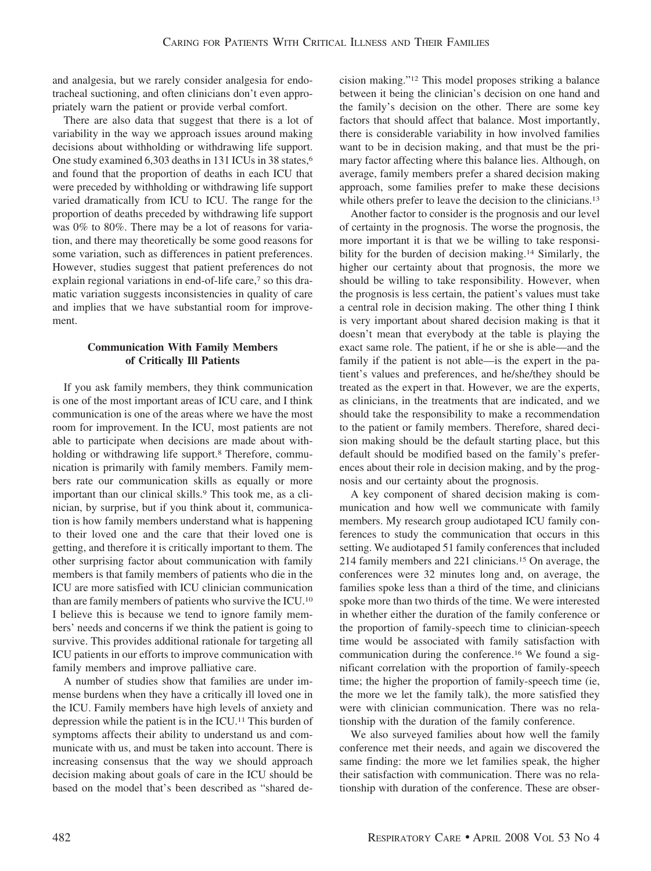and analgesia, but we rarely consider analgesia for endotracheal suctioning, and often clinicians don't even appropriately warn the patient or provide verbal comfort.

There are also data that suggest that there is a lot of variability in the way we approach issues around making decisions about withholding or withdrawing life support. One study examined 6,303 deaths in 131 ICUs in 38 states,6 and found that the proportion of deaths in each ICU that were preceded by withholding or withdrawing life support varied dramatically from ICU to ICU. The range for the proportion of deaths preceded by withdrawing life support was 0% to 80%. There may be a lot of reasons for variation, and there may theoretically be some good reasons for some variation, such as differences in patient preferences. However, studies suggest that patient preferences do not explain regional variations in end-of-life care,<sup>7</sup> so this dramatic variation suggests inconsistencies in quality of care and implies that we have substantial room for improvement.

# **Communication With Family Members of Critically Ill Patients**

If you ask family members, they think communication is one of the most important areas of ICU care, and I think communication is one of the areas where we have the most room for improvement. In the ICU, most patients are not able to participate when decisions are made about withholding or withdrawing life support.<sup>8</sup> Therefore, communication is primarily with family members. Family members rate our communication skills as equally or more important than our clinical skills.<sup>9</sup> This took me, as a clinician, by surprise, but if you think about it, communication is how family members understand what is happening to their loved one and the care that their loved one is getting, and therefore it is critically important to them. The other surprising factor about communication with family members is that family members of patients who die in the ICU are more satisfied with ICU clinician communication than are family members of patients who survive the ICU.10 I believe this is because we tend to ignore family members' needs and concerns if we think the patient is going to survive. This provides additional rationale for targeting all ICU patients in our efforts to improve communication with family members and improve palliative care.

A number of studies show that families are under immense burdens when they have a critically ill loved one in the ICU. Family members have high levels of anxiety and depression while the patient is in the ICU.11 This burden of symptoms affects their ability to understand us and communicate with us, and must be taken into account. There is increasing consensus that the way we should approach decision making about goals of care in the ICU should be based on the model that's been described as "shared de-

cision making."12 This model proposes striking a balance between it being the clinician's decision on one hand and the family's decision on the other. There are some key factors that should affect that balance. Most importantly, there is considerable variability in how involved families want to be in decision making, and that must be the primary factor affecting where this balance lies. Although, on average, family members prefer a shared decision making approach, some families prefer to make these decisions while others prefer to leave the decision to the clinicians.<sup>13</sup>

Another factor to consider is the prognosis and our level of certainty in the prognosis. The worse the prognosis, the more important it is that we be willing to take responsibility for the burden of decision making.<sup>14</sup> Similarly, the higher our certainty about that prognosis, the more we should be willing to take responsibility. However, when the prognosis is less certain, the patient's values must take a central role in decision making. The other thing I think is very important about shared decision making is that it doesn't mean that everybody at the table is playing the exact same role. The patient, if he or she is able—and the family if the patient is not able—is the expert in the patient's values and preferences, and he/she/they should be treated as the expert in that. However, we are the experts, as clinicians, in the treatments that are indicated, and we should take the responsibility to make a recommendation to the patient or family members. Therefore, shared decision making should be the default starting place, but this default should be modified based on the family's preferences about their role in decision making, and by the prognosis and our certainty about the prognosis.

A key component of shared decision making is communication and how well we communicate with family members. My research group audiotaped ICU family conferences to study the communication that occurs in this setting. We audiotaped 51 family conferences that included 214 family members and 221 clinicians.15 On average, the conferences were 32 minutes long and, on average, the families spoke less than a third of the time, and clinicians spoke more than two thirds of the time. We were interested in whether either the duration of the family conference or the proportion of family-speech time to clinician-speech time would be associated with family satisfaction with communication during the conference.16 We found a significant correlation with the proportion of family-speech time; the higher the proportion of family-speech time (ie, the more we let the family talk), the more satisfied they were with clinician communication. There was no relationship with the duration of the family conference.

We also surveyed families about how well the family conference met their needs, and again we discovered the same finding: the more we let families speak, the higher their satisfaction with communication. There was no relationship with duration of the conference. These are obser-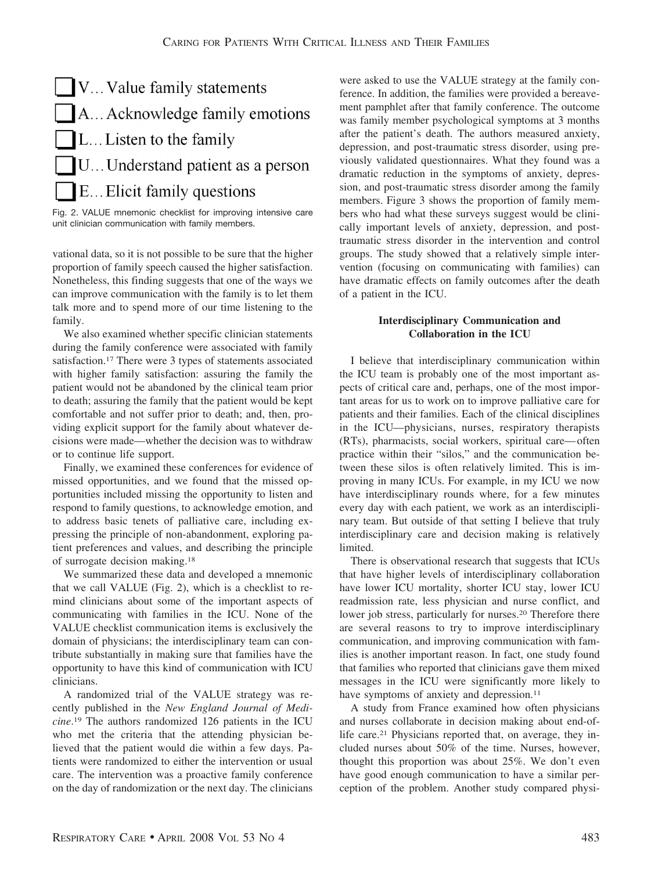

Fig. 2. VALUE mnemonic checklist for improving intensive care unit clinician communication with family members.

vational data, so it is not possible to be sure that the higher proportion of family speech caused the higher satisfaction. Nonetheless, this finding suggests that one of the ways we can improve communication with the family is to let them talk more and to spend more of our time listening to the family.

We also examined whether specific clinician statements during the family conference were associated with family satisfaction.17 There were 3 types of statements associated with higher family satisfaction: assuring the family the patient would not be abandoned by the clinical team prior to death; assuring the family that the patient would be kept comfortable and not suffer prior to death; and, then, providing explicit support for the family about whatever decisions were made—whether the decision was to withdraw or to continue life support.

Finally, we examined these conferences for evidence of missed opportunities, and we found that the missed opportunities included missing the opportunity to listen and respond to family questions, to acknowledge emotion, and to address basic tenets of palliative care, including expressing the principle of non-abandonment, exploring patient preferences and values, and describing the principle of surrogate decision making.18

We summarized these data and developed a mnemonic that we call VALUE (Fig. 2), which is a checklist to remind clinicians about some of the important aspects of communicating with families in the ICU. None of the VALUE checklist communication items is exclusively the domain of physicians; the interdisciplinary team can contribute substantially in making sure that families have the opportunity to have this kind of communication with ICU clinicians.

A randomized trial of the VALUE strategy was recently published in the *New England Journal of Medicine*. <sup>19</sup> The authors randomized 126 patients in the ICU who met the criteria that the attending physician believed that the patient would die within a few days. Patients were randomized to either the intervention or usual care. The intervention was a proactive family conference on the day of randomization or the next day. The clinicians

were asked to use the VALUE strategy at the family conference. In addition, the families were provided a bereavement pamphlet after that family conference. The outcome was family member psychological symptoms at 3 months after the patient's death. The authors measured anxiety, depression, and post-traumatic stress disorder, using previously validated questionnaires. What they found was a dramatic reduction in the symptoms of anxiety, depression, and post-traumatic stress disorder among the family members. Figure 3 shows the proportion of family members who had what these surveys suggest would be clinically important levels of anxiety, depression, and posttraumatic stress disorder in the intervention and control groups. The study showed that a relatively simple intervention (focusing on communicating with families) can have dramatic effects on family outcomes after the death of a patient in the ICU.

# **Interdisciplinary Communication and Collaboration in the ICU**

I believe that interdisciplinary communication within the ICU team is probably one of the most important aspects of critical care and, perhaps, one of the most important areas for us to work on to improve palliative care for patients and their families. Each of the clinical disciplines in the ICU—physicians, nurses, respiratory therapists (RTs), pharmacists, social workers, spiritual care— often practice within their "silos," and the communication between these silos is often relatively limited. This is improving in many ICUs. For example, in my ICU we now have interdisciplinary rounds where, for a few minutes every day with each patient, we work as an interdisciplinary team. But outside of that setting I believe that truly interdisciplinary care and decision making is relatively limited.

There is observational research that suggests that ICUs that have higher levels of interdisciplinary collaboration have lower ICU mortality, shorter ICU stay, lower ICU readmission rate, less physician and nurse conflict, and lower job stress, particularly for nurses.20 Therefore there are several reasons to try to improve interdisciplinary communication, and improving communication with families is another important reason. In fact, one study found that families who reported that clinicians gave them mixed messages in the ICU were significantly more likely to have symptoms of anxiety and depression.<sup>11</sup>

A study from France examined how often physicians and nurses collaborate in decision making about end-oflife care.<sup>21</sup> Physicians reported that, on average, they included nurses about 50% of the time. Nurses, however, thought this proportion was about 25%. We don't even have good enough communication to have a similar perception of the problem. Another study compared physi-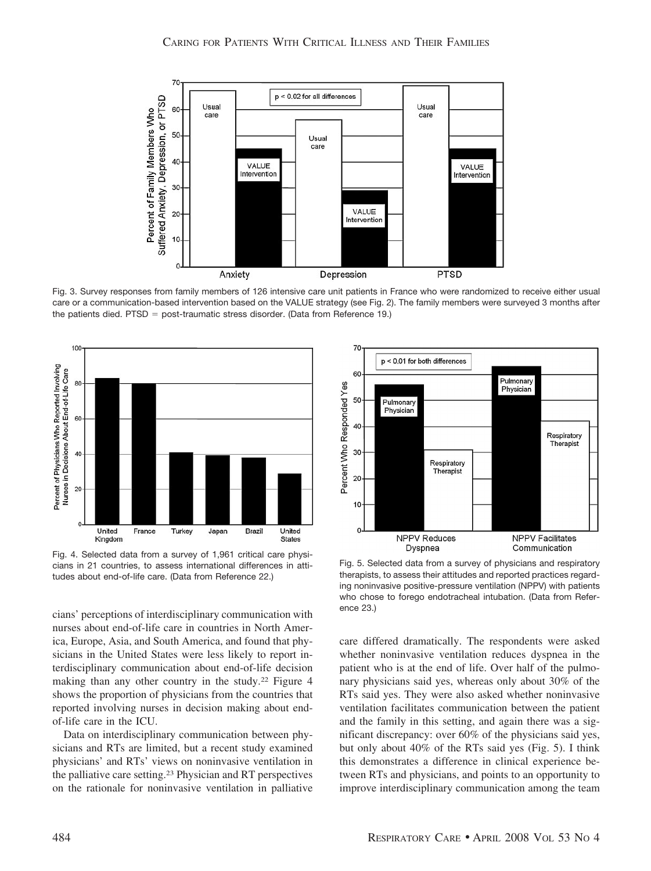

Fig. 3. Survey responses from family members of 126 intensive care unit patients in France who were randomized to receive either usual care or a communication-based intervention based on the VALUE strategy (see Fig. 2). The family members were surveyed 3 months after the patients died. PTSD = post-traumatic stress disorder. (Data from Reference 19.)



Fig. 4. Selected data from a survey of 1,961 critical care physicians in 21 countries, to assess international differences in attitudes about end-of-life care. (Data from Reference 22.)

cians' perceptions of interdisciplinary communication with nurses about end-of-life care in countries in North America, Europe, Asia, and South America, and found that physicians in the United States were less likely to report interdisciplinary communication about end-of-life decision making than any other country in the study.22 Figure 4 shows the proportion of physicians from the countries that reported involving nurses in decision making about endof-life care in the ICU.

Data on interdisciplinary communication between physicians and RTs are limited, but a recent study examined physicians' and RTs' views on noninvasive ventilation in the palliative care setting.23 Physician and RT perspectives on the rationale for noninvasive ventilation in palliative



Fig. 5. Selected data from a survey of physicians and respiratory therapists, to assess their attitudes and reported practices regarding noninvasive positive-pressure ventilation (NPPV) with patients who chose to forego endotracheal intubation. (Data from Reference 23.)

care differed dramatically. The respondents were asked whether noninvasive ventilation reduces dyspnea in the patient who is at the end of life. Over half of the pulmonary physicians said yes, whereas only about 30% of the RTs said yes. They were also asked whether noninvasive ventilation facilitates communication between the patient and the family in this setting, and again there was a significant discrepancy: over 60% of the physicians said yes, but only about 40% of the RTs said yes (Fig. 5). I think this demonstrates a difference in clinical experience between RTs and physicians, and points to an opportunity to improve interdisciplinary communication among the team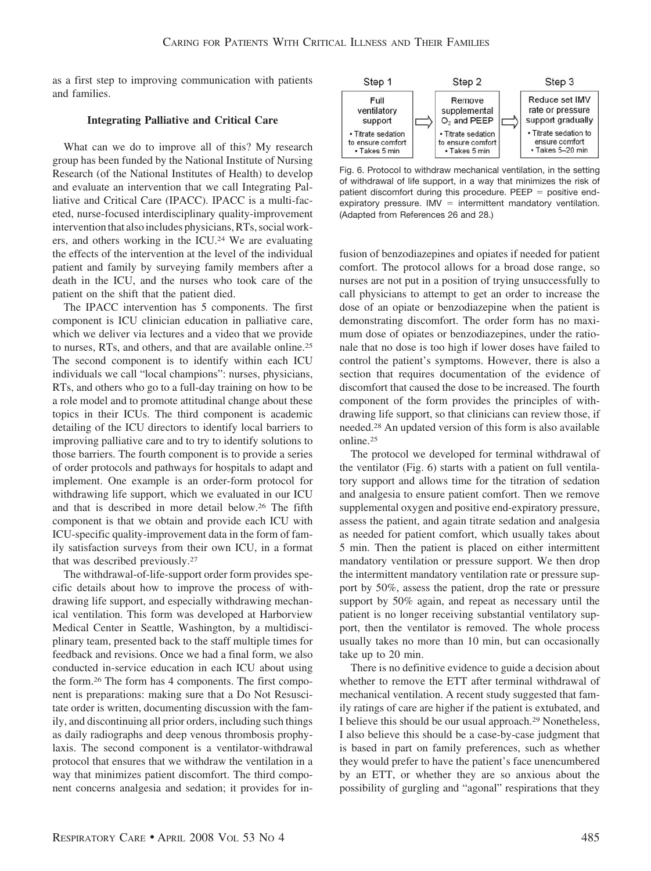as a first step to improving communication with patients and families.

### **Integrating Palliative and Critical Care**

What can we do to improve all of this? My research group has been funded by the National Institute of Nursing Research (of the National Institutes of Health) to develop and evaluate an intervention that we call Integrating Palliative and Critical Care (IPACC). IPACC is a multi-faceted, nurse-focused interdisciplinary quality-improvement intervention that also includes physicians, RTs, social workers, and others working in the ICU.24 We are evaluating the effects of the intervention at the level of the individual patient and family by surveying family members after a death in the ICU, and the nurses who took care of the patient on the shift that the patient died.

The IPACC intervention has 5 components. The first component is ICU clinician education in palliative care, which we deliver via lectures and a video that we provide to nurses, RTs, and others, and that are available online.25 The second component is to identify within each ICU individuals we call "local champions": nurses, physicians, RTs, and others who go to a full-day training on how to be a role model and to promote attitudinal change about these topics in their ICUs. The third component is academic detailing of the ICU directors to identify local barriers to improving palliative care and to try to identify solutions to those barriers. The fourth component is to provide a series of order protocols and pathways for hospitals to adapt and implement. One example is an order-form protocol for withdrawing life support, which we evaluated in our ICU and that is described in more detail below.26 The fifth component is that we obtain and provide each ICU with ICU-specific quality-improvement data in the form of family satisfaction surveys from their own ICU, in a format that was described previously.27

The withdrawal-of-life-support order form provides specific details about how to improve the process of withdrawing life support, and especially withdrawing mechanical ventilation. This form was developed at Harborview Medical Center in Seattle, Washington, by a multidisciplinary team, presented back to the staff multiple times for feedback and revisions. Once we had a final form, we also conducted in-service education in each ICU about using the form.26 The form has 4 components. The first component is preparations: making sure that a Do Not Resuscitate order is written, documenting discussion with the family, and discontinuing all prior orders, including such things as daily radiographs and deep venous thrombosis prophylaxis. The second component is a ventilator-withdrawal protocol that ensures that we withdraw the ventilation in a way that minimizes patient discomfort. The third component concerns analgesia and sedation; it provides for in-



Fig. 6. Protocol to withdraw mechanical ventilation, in the setting of withdrawal of life support, in a way that minimizes the risk of patient discomfort during this procedure.  $PEEP =$  positive endexpiratory pressure. IMV  $=$  intermittent mandatory ventilation. (Adapted from References 26 and 28.)

fusion of benzodiazepines and opiates if needed for patient comfort. The protocol allows for a broad dose range, so nurses are not put in a position of trying unsuccessfully to call physicians to attempt to get an order to increase the dose of an opiate or benzodiazepine when the patient is demonstrating discomfort. The order form has no maximum dose of opiates or benzodiazepines, under the rationale that no dose is too high if lower doses have failed to control the patient's symptoms. However, there is also a section that requires documentation of the evidence of discomfort that caused the dose to be increased. The fourth component of the form provides the principles of withdrawing life support, so that clinicians can review those, if needed.28 An updated version of this form is also available online.25

The protocol we developed for terminal withdrawal of the ventilator (Fig. 6) starts with a patient on full ventilatory support and allows time for the titration of sedation and analgesia to ensure patient comfort. Then we remove supplemental oxygen and positive end-expiratory pressure, assess the patient, and again titrate sedation and analgesia as needed for patient comfort, which usually takes about 5 min. Then the patient is placed on either intermittent mandatory ventilation or pressure support. We then drop the intermittent mandatory ventilation rate or pressure support by 50%, assess the patient, drop the rate or pressure support by 50% again, and repeat as necessary until the patient is no longer receiving substantial ventilatory support, then the ventilator is removed. The whole process usually takes no more than 10 min, but can occasionally take up to 20 min.

There is no definitive evidence to guide a decision about whether to remove the ETT after terminal withdrawal of mechanical ventilation. A recent study suggested that family ratings of care are higher if the patient is extubated, and I believe this should be our usual approach.29 Nonetheless, I also believe this should be a case-by-case judgment that is based in part on family preferences, such as whether they would prefer to have the patient's face unencumbered by an ETT, or whether they are so anxious about the possibility of gurgling and "agonal" respirations that they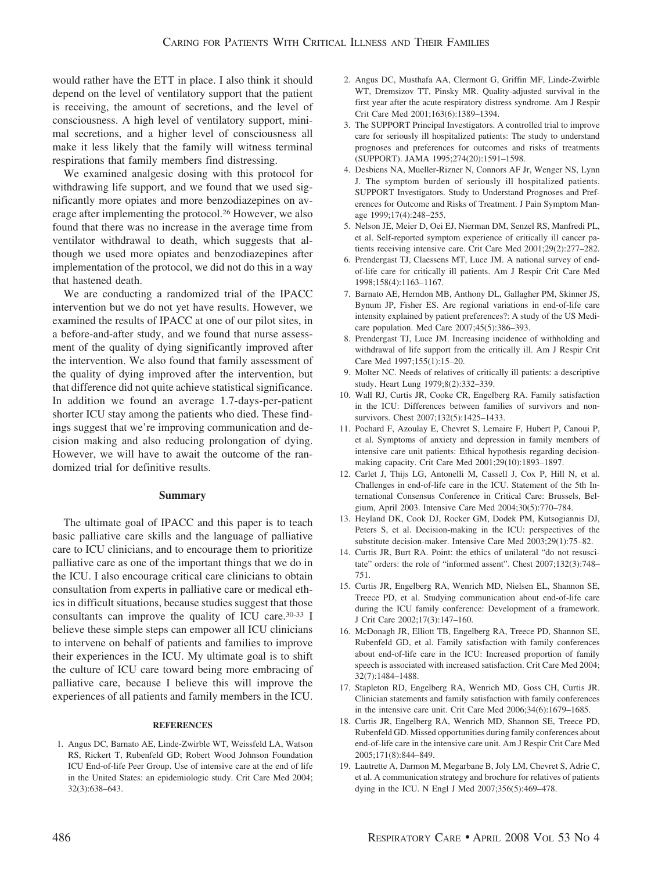would rather have the ETT in place. I also think it should depend on the level of ventilatory support that the patient is receiving, the amount of secretions, and the level of consciousness. A high level of ventilatory support, minimal secretions, and a higher level of consciousness all make it less likely that the family will witness terminal respirations that family members find distressing.

We examined analgesic dosing with this protocol for withdrawing life support, and we found that we used significantly more opiates and more benzodiazepines on average after implementing the protocol.26 However, we also found that there was no increase in the average time from ventilator withdrawal to death, which suggests that although we used more opiates and benzodiazepines after implementation of the protocol, we did not do this in a way that hastened death.

We are conducting a randomized trial of the IPACC intervention but we do not yet have results. However, we examined the results of IPACC at one of our pilot sites, in a before-and-after study, and we found that nurse assessment of the quality of dying significantly improved after the intervention. We also found that family assessment of the quality of dying improved after the intervention, but that difference did not quite achieve statistical significance. In addition we found an average 1.7-days-per-patient shorter ICU stay among the patients who died. These findings suggest that we're improving communication and decision making and also reducing prolongation of dying. However, we will have to await the outcome of the randomized trial for definitive results.

## **Summary**

The ultimate goal of IPACC and this paper is to teach basic palliative care skills and the language of palliative care to ICU clinicians, and to encourage them to prioritize palliative care as one of the important things that we do in the ICU. I also encourage critical care clinicians to obtain consultation from experts in palliative care or medical ethics in difficult situations, because studies suggest that those consultants can improve the quality of ICU care.30-33 I believe these simple steps can empower all ICU clinicians to intervene on behalf of patients and families to improve their experiences in the ICU. My ultimate goal is to shift the culture of ICU care toward being more embracing of palliative care, because I believe this will improve the experiences of all patients and family members in the ICU.

#### **REFERENCES**

1. Angus DC, Barnato AE, Linde-Zwirble WT, Weissfeld LA, Watson RS, Rickert T, Rubenfeld GD; Robert Wood Johnson Foundation ICU End-of-life Peer Group. Use of intensive care at the end of life in the United States: an epidemiologic study. Crit Care Med 2004; 32(3):638–643.

- 2. Angus DC, Musthafa AA, Clermont G, Griffin MF, Linde-Zwirble WT, Dremsizov TT, Pinsky MR. Quality-adjusted survival in the first year after the acute respiratory distress syndrome. Am J Respir Crit Care Med 2001;163(6):1389–1394.
- 3. The SUPPORT Principal Investigators. A controlled trial to improve care for seriously ill hospitalized patients: The study to understand prognoses and preferences for outcomes and risks of treatments (SUPPORT). JAMA 1995;274(20):1591–1598.
- 4. Desbiens NA, Mueller-Rizner N, Connors AF Jr, Wenger NS, Lynn J. The symptom burden of seriously ill hospitalized patients. SUPPORT Investigators. Study to Understand Prognoses and Preferences for Outcome and Risks of Treatment. J Pain Symptom Manage 1999;17(4):248–255.
- 5. Nelson JE, Meier D, Oei EJ, Nierman DM, Senzel RS, Manfredi PL, et al. Self-reported symptom experience of critically ill cancer patients receiving intensive care. Crit Care Med 2001;29(2):277–282.
- 6. Prendergast TJ, Claessens MT, Luce JM. A national survey of endof-life care for critically ill patients. Am J Respir Crit Care Med 1998;158(4):1163–1167.
- 7. Barnato AE, Herndon MB, Anthony DL, Gallagher PM, Skinner JS, Bynum JP, Fisher ES. Are regional variations in end-of-life care intensity explained by patient preferences?: A study of the US Medicare population. Med Care 2007;45(5):386–393.
- 8. Prendergast TJ, Luce JM. Increasing incidence of withholding and withdrawal of life support from the critically ill. Am J Respir Crit Care Med 1997;155(1):15–20.
- 9. Molter NC. Needs of relatives of critically ill patients: a descriptive study. Heart Lung 1979;8(2):332–339.
- 10. Wall RJ, Curtis JR, Cooke CR, Engelberg RA. Family satisfaction in the ICU: Differences between families of survivors and nonsurvivors. Chest 2007;132(5):1425–1433.
- 11. Pochard F, Azoulay E, Chevret S, Lemaire F, Hubert P, Canoui P, et al. Symptoms of anxiety and depression in family members of intensive care unit patients: Ethical hypothesis regarding decisionmaking capacity. Crit Care Med 2001;29(10):1893–1897.
- 12. Carlet J, Thijs LG, Antonelli M, Cassell J, Cox P, Hill N, et al. Challenges in end-of-life care in the ICU. Statement of the 5th International Consensus Conference in Critical Care: Brussels, Belgium, April 2003. Intensive Care Med 2004;30(5):770–784.
- 13. Heyland DK, Cook DJ, Rocker GM, Dodek PM, Kutsogiannis DJ, Peters S, et al. Decision-making in the ICU: perspectives of the substitute decision-maker. Intensive Care Med 2003;29(1):75–82.
- 14. Curtis JR, Burt RA. Point: the ethics of unilateral "do not resuscitate" orders: the role of "informed assent". Chest 2007;132(3):748– 751.
- 15. Curtis JR, Engelberg RA, Wenrich MD, Nielsen EL, Shannon SE, Treece PD, et al. Studying communication about end-of-life care during the ICU family conference: Development of a framework. J Crit Care 2002;17(3):147–160.
- 16. McDonagh JR, Elliott TB, Engelberg RA, Treece PD, Shannon SE, Rubenfeld GD, et al. Family satisfaction with family conferences about end-of-life care in the ICU: Increased proportion of family speech is associated with increased satisfaction. Crit Care Med 2004; 32(7):1484–1488.
- 17. Stapleton RD, Engelberg RA, Wenrich MD, Goss CH, Curtis JR. Clinician statements and family satisfaction with family conferences in the intensive care unit. Crit Care Med 2006;34(6):1679–1685.
- 18. Curtis JR, Engelberg RA, Wenrich MD, Shannon SE, Treece PD, Rubenfeld GD. Missed opportunities during family conferences about end-of-life care in the intensive care unit. Am J Respir Crit Care Med 2005;171(8):844–849.
- 19. Lautrette A, Darmon M, Megarbane B, Joly LM, Chevret S, Adrie C, et al. A communication strategy and brochure for relatives of patients dying in the ICU. N Engl J Med 2007;356(5):469–478.